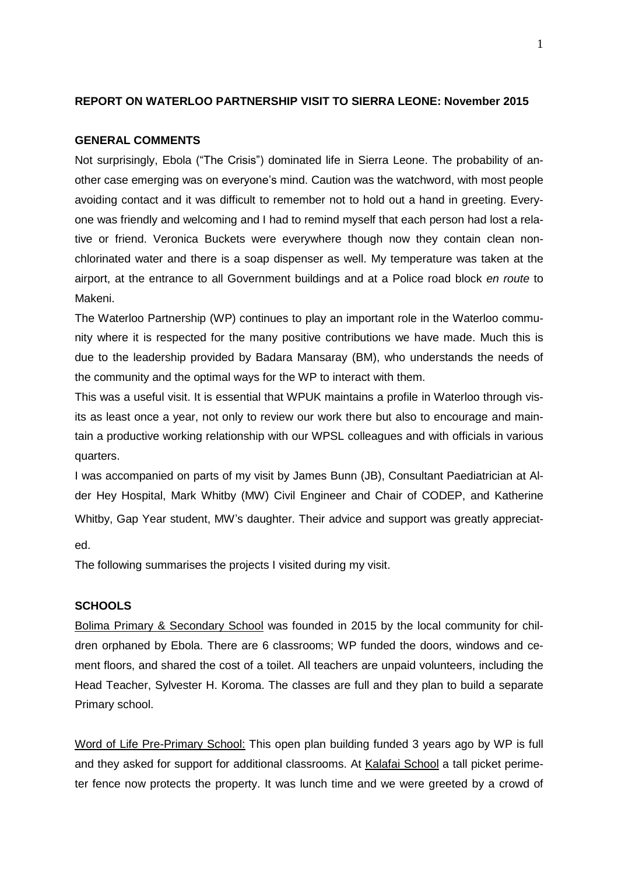# **REPORT ON WATERLOO PARTNERSHIP VISIT TO SIERRA LEONE: November 2015**

### **GENERAL COMMENTS**

Not surprisingly, Ebola ("The Crisis") dominated life in Sierra Leone. The probability of another case emerging was on everyone's mind. Caution was the watchword, with most people avoiding contact and it was difficult to remember not to hold out a hand in greeting. Everyone was friendly and welcoming and I had to remind myself that each person had lost a relative or friend. Veronica Buckets were everywhere though now they contain clean nonchlorinated water and there is a soap dispenser as well. My temperature was taken at the airport, at the entrance to all Government buildings and at a Police road block *en route* to Makeni.

The Waterloo Partnership (WP) continues to play an important role in the Waterloo community where it is respected for the many positive contributions we have made. Much this is due to the leadership provided by Badara Mansaray (BM), who understands the needs of the community and the optimal ways for the WP to interact with them.

This was a useful visit. It is essential that WPUK maintains a profile in Waterloo through visits as least once a year, not only to review our work there but also to encourage and maintain a productive working relationship with our WPSL colleagues and with officials in various quarters.

I was accompanied on parts of my visit by James Bunn (JB), Consultant Paediatrician at Alder Hey Hospital, Mark Whitby (MW) Civil Engineer and Chair of CODEP, and Katherine Whitby, Gap Year student, MW's daughter. Their advice and support was greatly appreciat-

ed.

The following summarises the projects I visited during my visit.

#### **SCHOOLS**

Bolima Primary & Secondary School was founded in 2015 by the local community for children orphaned by Ebola. There are 6 classrooms; WP funded the doors, windows and cement floors, and shared the cost of a toilet. All teachers are unpaid volunteers, including the Head Teacher, Sylvester H. Koroma. The classes are full and they plan to build a separate Primary school.

Word of Life Pre-Primary School: This open plan building funded 3 years ago by WP is full and they asked for support for additional classrooms. At Kalafai School a tall picket perimeter fence now protects the property. It was lunch time and we were greeted by a crowd of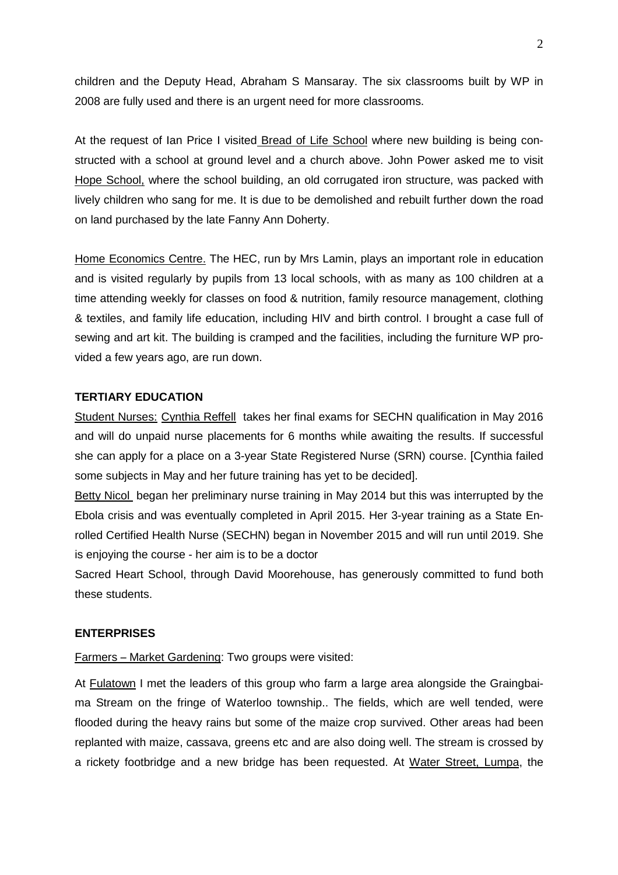children and the Deputy Head, Abraham S Mansaray. The six classrooms built by WP in 2008 are fully used and there is an urgent need for more classrooms.

At the request of Ian Price I visited Bread of Life School where new building is being constructed with a school at ground level and a church above. John Power asked me to visit Hope School, where the school building, an old corrugated iron structure, was packed with lively children who sang for me. It is due to be demolished and rebuilt further down the road on land purchased by the late Fanny Ann Doherty.

Home Economics Centre. The HEC, run by Mrs Lamin, plays an important role in education and is visited regularly by pupils from 13 local schools, with as many as 100 children at a time attending weekly for classes on food & nutrition, family resource management, clothing & textiles, and family life education, including HIV and birth control. I brought a case full of sewing and art kit. The building is cramped and the facilities, including the furniture WP provided a few years ago, are run down.

## **TERTIARY EDUCATION**

Student Nurses: Cynthia Reffell takes her final exams for SECHN qualification in May 2016 and will do unpaid nurse placements for 6 months while awaiting the results. If successful she can apply for a place on a 3-year State Registered Nurse (SRN) course. [Cynthia failed some subjects in May and her future training has yet to be decided].

Betty Nicol began her preliminary nurse training in May 2014 but this was interrupted by the Ebola crisis and was eventually completed in April 2015. Her 3-year training as a State Enrolled Certified Health Nurse (SECHN) began in November 2015 and will run until 2019. She is enjoying the course - her aim is to be a doctor

Sacred Heart School, through David Moorehouse, has generously committed to fund both these students.

### **ENTERPRISES**

Farmers – Market Gardening: Two groups were visited:

At Fulatown I met the leaders of this group who farm a large area alongside the Graingbaima Stream on the fringe of Waterloo township.. The fields, which are well tended, were flooded during the heavy rains but some of the maize crop survived. Other areas had been replanted with maize, cassava, greens etc and are also doing well. The stream is crossed by a rickety footbridge and a new bridge has been requested. At Water Street, Lumpa, the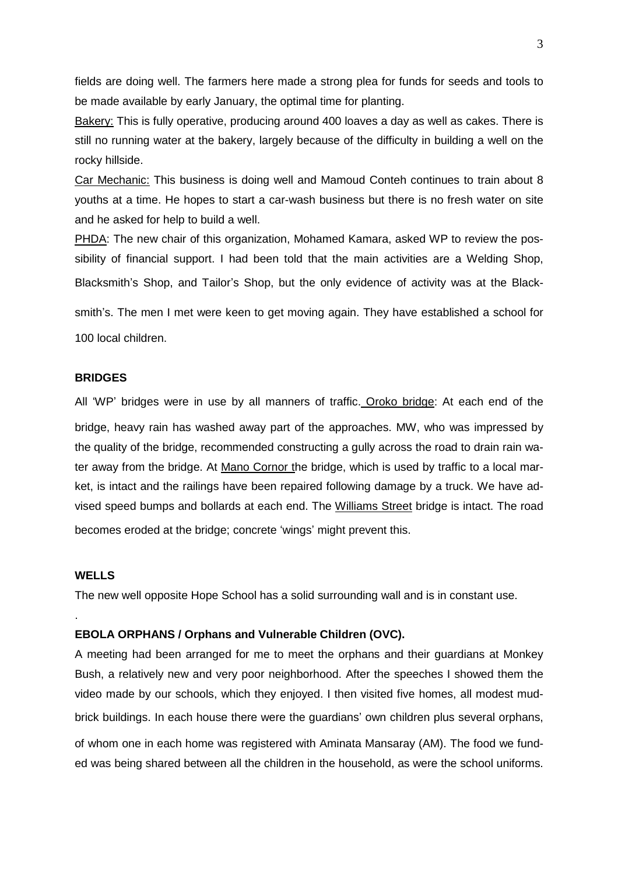fields are doing well. The farmers here made a strong plea for funds for seeds and tools to be made available by early January, the optimal time for planting.

Bakery: This is fully operative, producing around 400 loaves a day as well as cakes. There is still no running water at the bakery, largely because of the difficulty in building a well on the rocky hillside.

Car Mechanic: This business is doing well and Mamoud Conteh continues to train about 8 youths at a time. He hopes to start a car-wash business but there is no fresh water on site and he asked for help to build a well.

PHDA: The new chair of this organization, Mohamed Kamara, asked WP to review the possibility of financial support. I had been told that the main activities are a Welding Shop, Blacksmith's Shop, and Tailor's Shop, but the only evidence of activity was at the Black-

smith's. The men I met were keen to get moving again. They have established a school for 100 local children.

### **BRIDGES**

All 'WP' bridges were in use by all manners of traffic. Oroko bridge: At each end of the bridge, heavy rain has washed away part of the approaches. MW, who was impressed by the quality of the bridge, recommended constructing a gully across the road to drain rain water away from the bridge. At Mano Cornor the bridge, which is used by traffic to a local market, is intact and the railings have been repaired following damage by a truck. We have advised speed bumps and bollards at each end. The Williams Street bridge is intact. The road becomes eroded at the bridge; concrete 'wings' might prevent this.

# **WELLS**

.

The new well opposite Hope School has a solid surrounding wall and is in constant use.

### **EBOLA ORPHANS / Orphans and Vulnerable Children (OVC).**

A meeting had been arranged for me to meet the orphans and their guardians at Monkey Bush, a relatively new and very poor neighborhood. After the speeches I showed them the video made by our schools, which they enjoyed. I then visited five homes, all modest mudbrick buildings. In each house there were the guardians' own children plus several orphans, of whom one in each home was registered with Aminata Mansaray (AM). The food we funded was being shared between all the children in the household, as were the school uniforms.